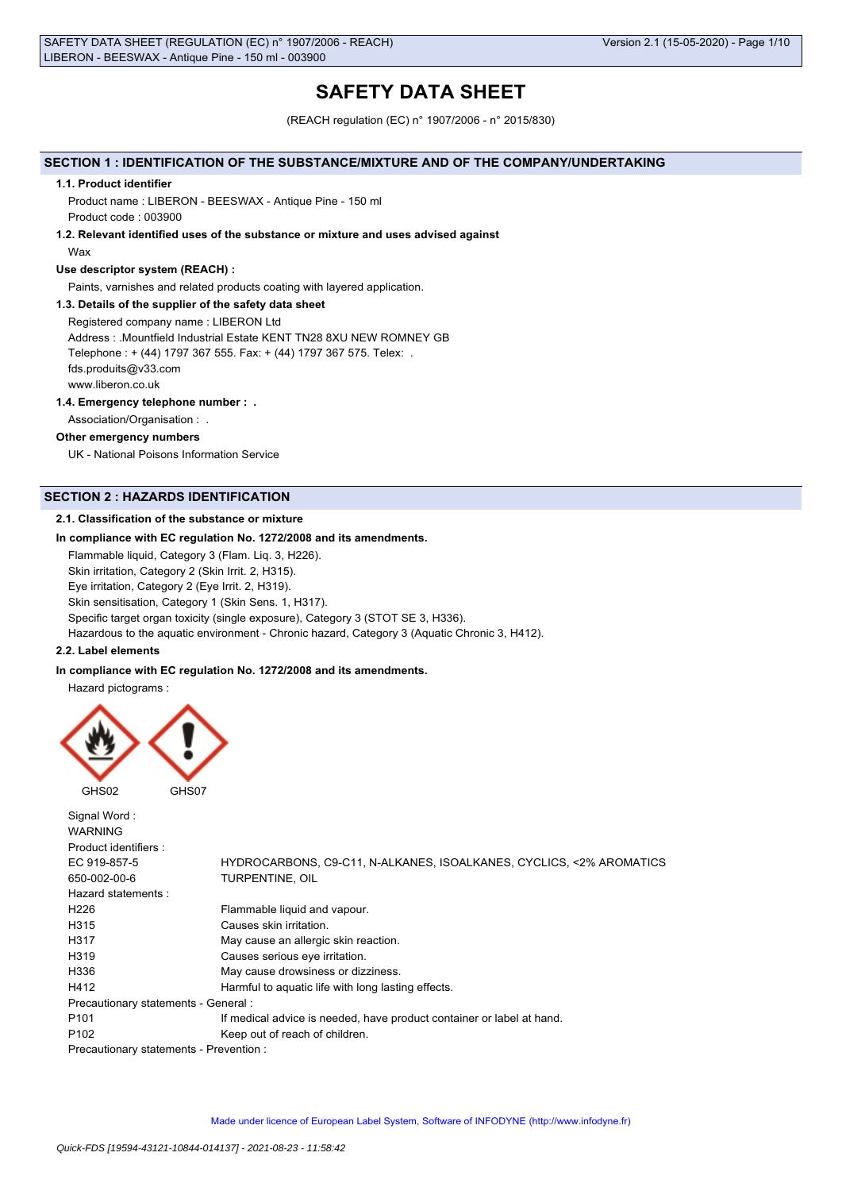# **SAFETY DATA SHEET**

(REACH regulation (EC) n° 1907/2006 - n° 2015/830)

### **SECTION 1 : IDENTIFICATION OF THE SUBSTANCE/MIXTURE AND OF THE COMPANY/UNDERTAKING**

#### **1.1. Product identifier**

Product name : LIBERON - BEESWAX - Antique Pine - 150 ml Product code : 003900

**1.2. Relevant identified uses of the substance or mixture and uses advised against**

## Wax

### **Use descriptor system (REACH) :**

Paints, varnishes and related products coating with layered application.

#### **1.3. Details of the supplier of the safety data sheet**

Registered company name : LIBERON Ltd Address : .Mountfield Industrial Estate KENT TN28 8XU NEW ROMNEY GB Telephone : + (44) 1797 367 555. Fax: + (44) 1797 367 575. Telex: . fds.produits@v33.com www.liberon.co.uk

#### **1.4. Emergency telephone number : .**

Association/Organisation : .

#### **Other emergency numbers**

UK - National Poisons Information Service

## **SECTION 2 : HAZARDS IDENTIFICATION**

### **2.1. Classification of the substance or mixture**

#### **In compliance with EC regulation No. 1272/2008 and its amendments.**

Flammable liquid, Category 3 (Flam. Liq. 3, H226).

Skin irritation, Category 2 (Skin Irrit. 2, H315).

Eye irritation, Category 2 (Eye Irrit. 2, H319).

Skin sensitisation, Category 1 (Skin Sens. 1, H317).

Specific target organ toxicity (single exposure), Category 3 (STOT SE 3, H336).

Hazardous to the aquatic environment - Chronic hazard, Category 3 (Aquatic Chronic 3, H412).

### **2.2. Label elements**

### **In compliance with EC regulation No. 1272/2008 and its amendments.**

Hazard pictograms :



| Signal Word:<br><b>WARNING</b>          |                                                                       |
|-----------------------------------------|-----------------------------------------------------------------------|
| Product identifiers :                   |                                                                       |
| EC 919-857-5                            | HYDROCARBONS, C9-C11, N-ALKANES, ISOALKANES, CYCLICS, <2% AROMATICS   |
| 650-002-00-6                            | TURPENTINE, OIL                                                       |
| Hazard statements:                      |                                                                       |
| H <sub>226</sub>                        | Flammable liquid and vapour.                                          |
| H315                                    | Causes skin irritation.                                               |
| H317                                    | May cause an allergic skin reaction.                                  |
| H319                                    | Causes serious eye irritation.                                        |
| H336                                    | May cause drowsiness or dizziness.                                    |
| H412                                    | Harmful to aquatic life with long lasting effects.                    |
| Precautionary statements - General :    |                                                                       |
| P <sub>101</sub>                        | If medical advice is needed, have product container or label at hand. |
| P <sub>102</sub>                        | Keep out of reach of children.                                        |
| Precautionary statements - Prevention : |                                                                       |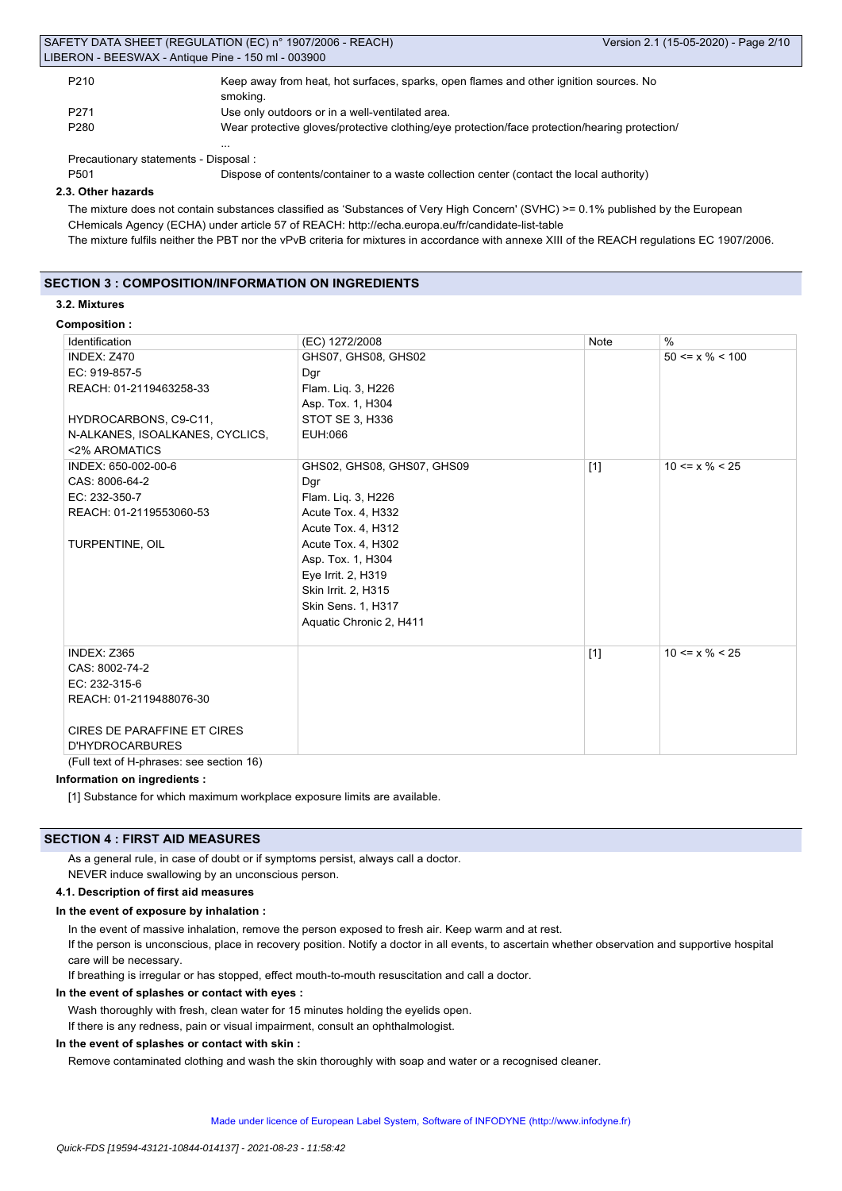| SAFETY DATA SHEET (REGULATION (EC) n° 1907/2006 - REACH |  |
|---------------------------------------------------------|--|
| LIBERON - BEESWAX - Antique Pine - 150 ml - 003900      |  |

...

| P <sub>210</sub> | Keep away from heat, hot surfaces, sparks, open flames and other ignition sources. No |
|------------------|---------------------------------------------------------------------------------------|
|                  | smoking.                                                                              |
| P <sub>271</sub> | Use only outdoors or in a well-ventilated area.                                       |

P280 Wear protective gloves/protective clothing/eye protection/face protection/hearing protection/

Precautionary statements - Disposal :

P501 Dispose of contents/container to a waste collection center (contact the local authority)

#### **2.3. Other hazards**

The mixture does not contain substances classified as 'Substances of Very High Concern' (SVHC) >= 0.1% published by the European CHemicals Agency (ECHA) under article 57 of REACH: http://echa.europa.eu/fr/candidate-list-table

The mixture fulfils neither the PBT nor the vPvB criteria for mixtures in accordance with annexe XIII of the REACH regulations EC 1907/2006.

### **SECTION 3 : COMPOSITION/INFORMATION ON INGREDIENTS**

### **3.2. Mixtures**

**Composition :**

| Identification                           | (EC) 1272/2008             | Note  | $\%$                  |
|------------------------------------------|----------------------------|-------|-----------------------|
| INDEX: Z470                              | GHS07, GHS08, GHS02        |       | $50 \le x \% \le 100$ |
| EC: 919-857-5                            | Dgr                        |       |                       |
| REACH: 01-2119463258-33                  | Flam. Liq. 3, H226         |       |                       |
|                                          | Asp. Tox. 1, H304          |       |                       |
| HYDROCARBONS, C9-C11,                    | STOT SE 3, H336            |       |                       |
| N-ALKANES, ISOALKANES, CYCLICS,          | EUH:066                    |       |                       |
| <2% AROMATICS                            |                            |       |                       |
| INDEX: 650-002-00-6                      | GHS02, GHS08, GHS07, GHS09 | $[1]$ | $10 \le x \% \le 25$  |
| CAS: 8006-64-2                           | Dgr                        |       |                       |
| EC: 232-350-7                            | Flam. Lig. 3, H226         |       |                       |
| REACH: 01-2119553060-53                  | Acute Tox. 4, H332         |       |                       |
|                                          | Acute Tox. 4, H312         |       |                       |
| TURPENTINE, OIL                          | Acute Tox. 4, H302         |       |                       |
|                                          | Asp. Tox. 1, H304          |       |                       |
|                                          | Eye Irrit. 2, H319         |       |                       |
|                                          | Skin Irrit. 2, H315        |       |                       |
|                                          | Skin Sens. 1, H317         |       |                       |
|                                          | Aquatic Chronic 2, H411    |       |                       |
|                                          |                            |       |                       |
| INDEX: Z365                              |                            | $[1]$ | $10 \le x \% \le 25$  |
| CAS: 8002-74-2                           |                            |       |                       |
| EC: 232-315-6                            |                            |       |                       |
| REACH: 01-2119488076-30                  |                            |       |                       |
|                                          |                            |       |                       |
| <b>CIRES DE PARAFFINE ET CIRES</b>       |                            |       |                       |
| <b>D'HYDROCARBURES</b><br>$\overline{1}$ |                            |       |                       |

(Full text of H-phrases: see section 16)

### **Information on ingredients :**

[1] Substance for which maximum workplace exposure limits are available.

### **SECTION 4 : FIRST AID MEASURES**

As a general rule, in case of doubt or if symptoms persist, always call a doctor. NEVER induce swallowing by an unconscious person.

## **4.1. Description of first aid measures**

#### **In the event of exposure by inhalation :**

In the event of massive inhalation, remove the person exposed to fresh air. Keep warm and at rest.

If the person is unconscious, place in recovery position. Notify a doctor in all events, to ascertain whether observation and supportive hospital care will be necessary.

If breathing is irregular or has stopped, effect mouth-to-mouth resuscitation and call a doctor.

### **In the event of splashes or contact with eyes :**

Wash thoroughly with fresh, clean water for 15 minutes holding the eyelids open.

If there is any redness, pain or visual impairment, consult an ophthalmologist.

#### **In the event of splashes or contact with skin :**

Remove contaminated clothing and wash the skin thoroughly with soap and water or a recognised cleaner.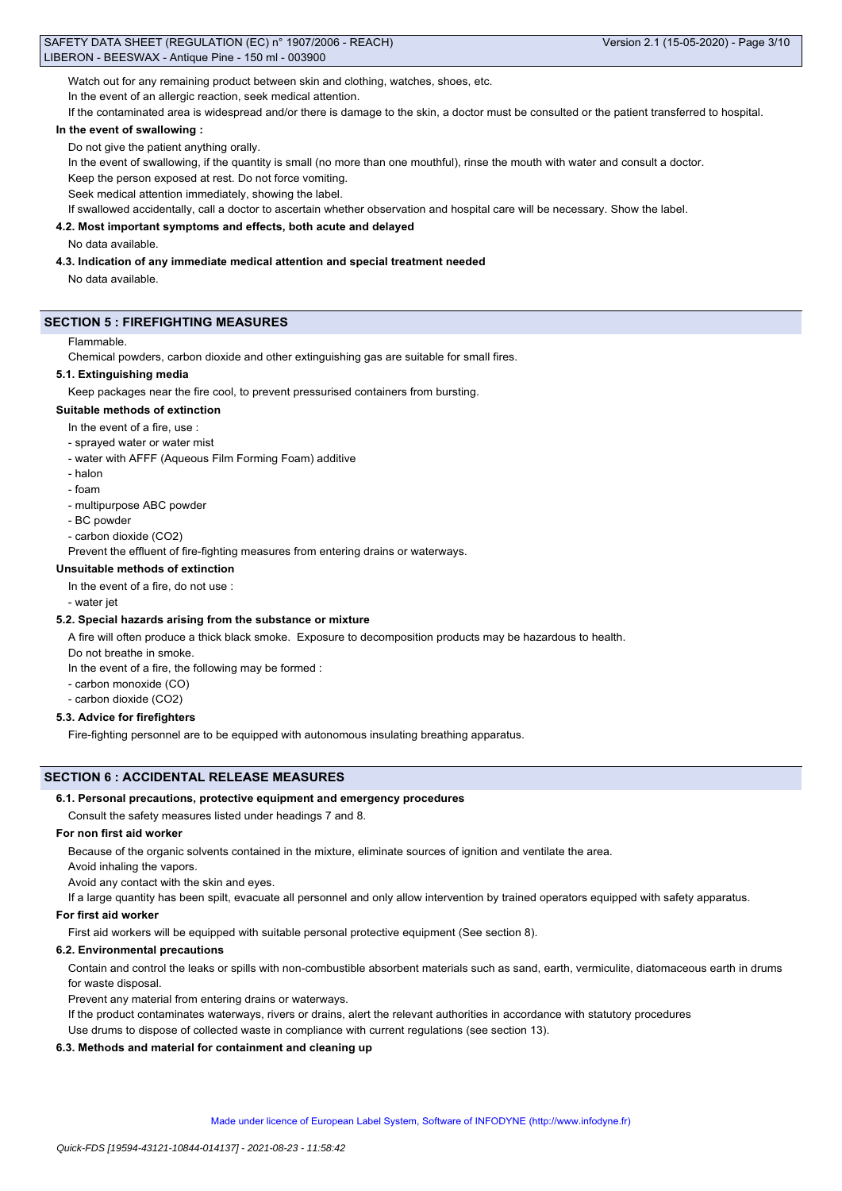Watch out for any remaining product between skin and clothing, watches, shoes, etc.

In the event of an allergic reaction, seek medical attention.

If the contaminated area is widespread and/or there is damage to the skin, a doctor must be consulted or the patient transferred to hospital.

### **In the event of swallowing :**

Do not give the patient anything orally.

In the event of swallowing, if the quantity is small (no more than one mouthful), rinse the mouth with water and consult a doctor.

Keep the person exposed at rest. Do not force vomiting.

Seek medical attention immediately, showing the label.

If swallowed accidentally, call a doctor to ascertain whether observation and hospital care will be necessary. Show the label.

### **4.2. Most important symptoms and effects, both acute and delayed**

#### No data available.

### **4.3. Indication of any immediate medical attention and special treatment needed**

No data available.

### **SECTION 5 : FIREFIGHTING MEASURES**

#### Flammable.

Chemical powders, carbon dioxide and other extinguishing gas are suitable for small fires.

#### **5.1. Extinguishing media**

Keep packages near the fire cool, to prevent pressurised containers from bursting.

### **Suitable methods of extinction**

- In the event of a fire, use :
- sprayed water or water mist
- water with AFFF (Aqueous Film Forming Foam) additive
- halon
- foam
- multipurpose ABC powder
- BC powder
- carbon dioxide (CO2)

Prevent the effluent of fire-fighting measures from entering drains or waterways.

## **Unsuitable methods of extinction**

In the event of a fire, do not use :

- water jet

### **5.2. Special hazards arising from the substance or mixture**

A fire will often produce a thick black smoke. Exposure to decomposition products may be hazardous to health.

Do not breathe in smoke.

In the event of a fire, the following may be formed :

- carbon monoxide (CO)
- carbon dioxide (CO2)

### **5.3. Advice for firefighters**

Fire-fighting personnel are to be equipped with autonomous insulating breathing apparatus.

### **SECTION 6 : ACCIDENTAL RELEASE MEASURES**

#### **6.1. Personal precautions, protective equipment and emergency procedures**

Consult the safety measures listed under headings 7 and 8.

### **For non first aid worker**

Because of the organic solvents contained in the mixture, eliminate sources of ignition and ventilate the area.

Avoid inhaling the vapors.

Avoid any contact with the skin and eyes.

If a large quantity has been spilt, evacuate all personnel and only allow intervention by trained operators equipped with safety apparatus.

#### **For first aid worker**

First aid workers will be equipped with suitable personal protective equipment (See section 8).

### **6.2. Environmental precautions**

Contain and control the leaks or spills with non-combustible absorbent materials such as sand, earth, vermiculite, diatomaceous earth in drums for waste disposal.

Prevent any material from entering drains or waterways.

If the product contaminates waterways, rivers or drains, alert the relevant authorities in accordance with statutory procedures

Use drums to dispose of collected waste in compliance with current regulations (see section 13).

### **6.3. Methods and material for containment and cleaning up**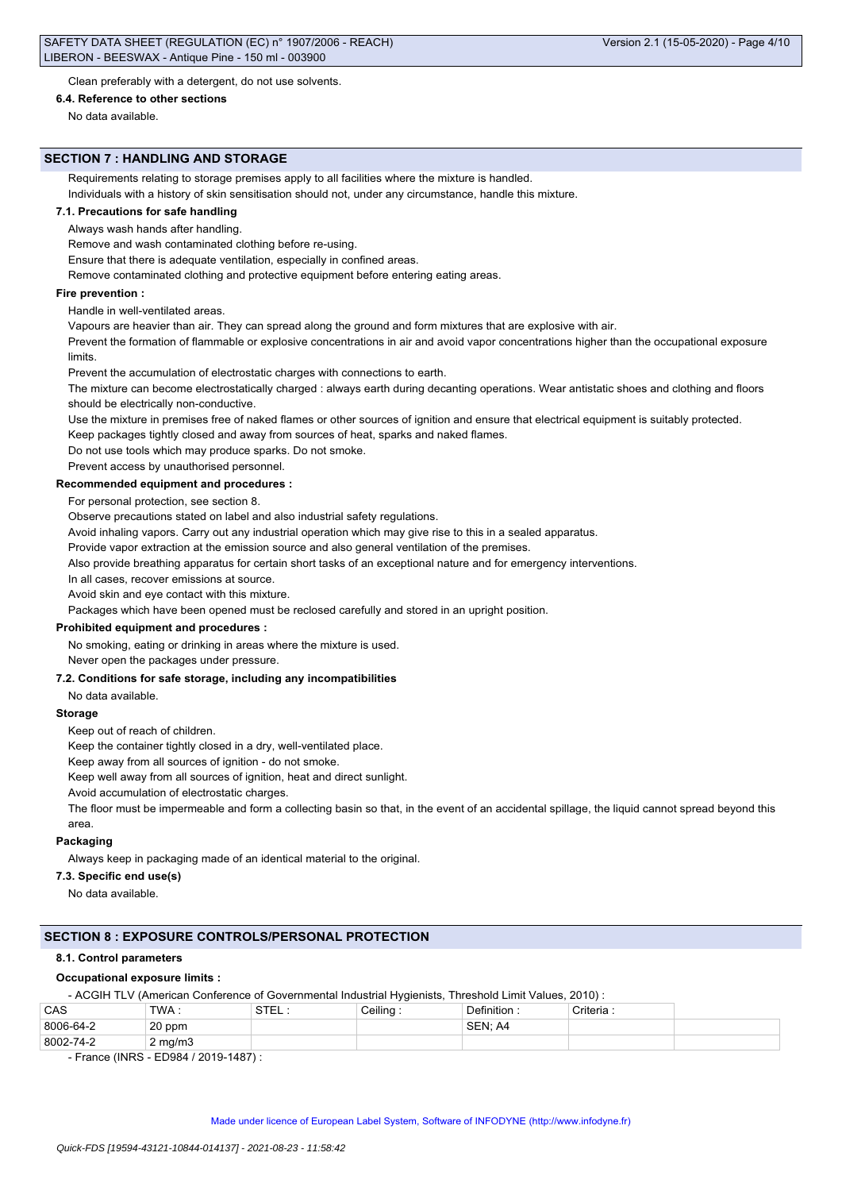Clean preferably with a detergent, do not use solvents.

### **6.4. Reference to other sections**

No data available.

#### **SECTION 7 : HANDLING AND STORAGE**

Requirements relating to storage premises apply to all facilities where the mixture is handled.

Individuals with a history of skin sensitisation should not, under any circumstance, handle this mixture.

### **7.1. Precautions for safe handling**

Always wash hands after handling.

Remove and wash contaminated clothing before re-using.

Ensure that there is adequate ventilation, especially in confined areas.

Remove contaminated clothing and protective equipment before entering eating areas.

#### **Fire prevention :**

Handle in well-ventilated areas.

Vapours are heavier than air. They can spread along the ground and form mixtures that are explosive with air.

Prevent the formation of flammable or explosive concentrations in air and avoid vapor concentrations higher than the occupational exposure limits.

Prevent the accumulation of electrostatic charges with connections to earth.

The mixture can become electrostatically charged : always earth during decanting operations. Wear antistatic shoes and clothing and floors should be electrically non-conductive.

Use the mixture in premises free of naked flames or other sources of ignition and ensure that electrical equipment is suitably protected.

Keep packages tightly closed and away from sources of heat, sparks and naked flames.

Do not use tools which may produce sparks. Do not smoke.

Prevent access by unauthorised personnel.

#### **Recommended equipment and procedures :**

For personal protection, see section 8.

Observe precautions stated on label and also industrial safety regulations.

Avoid inhaling vapors. Carry out any industrial operation which may give rise to this in a sealed apparatus.

Provide vapor extraction at the emission source and also general ventilation of the premises.

Also provide breathing apparatus for certain short tasks of an exceptional nature and for emergency interventions.

In all cases, recover emissions at source.

Avoid skin and eye contact with this mixture.

Packages which have been opened must be reclosed carefully and stored in an upright position.

### **Prohibited equipment and procedures :**

No smoking, eating or drinking in areas where the mixture is used.

Never open the packages under pressure.

### **7.2. Conditions for safe storage, including any incompatibilities**

No data available.

#### **Storage**

Keep out of reach of children.

Keep the container tightly closed in a dry, well-ventilated place.

Keep away from all sources of ignition - do not smoke.

Keep well away from all sources of ignition, heat and direct sunlight.

Avoid accumulation of electrostatic charges.

The floor must be impermeable and form a collecting basin so that, in the event of an accidental spillage, the liquid cannot spread beyond this area.

#### **Packaging**

Always keep in packaging made of an identical material to the original.

### **7.3. Specific end use(s)**

No data available.

### **SECTION 8 : EXPOSURE CONTROLS/PERSONAL PROTECTION**

#### **8.1. Control parameters**

#### **Occupational exposure limits :**

- ACGIH TLV (American Conference of Governmental Industrial Hygienists, Threshold Limit Values, 2010) :

| CAS       | TWA.             | <b>STE</b> | Ceiling | <b>Definition</b> | Criteria. |  |
|-----------|------------------|------------|---------|-------------------|-----------|--|
| 8006-64-2 | 20 ppm           |            |         | SEN:<br>A4        |           |  |
| 8002-74-2 | $2 \text{ mg/m}$ |            |         |                   |           |  |

- France (INRS - ED984 / 2019-1487) :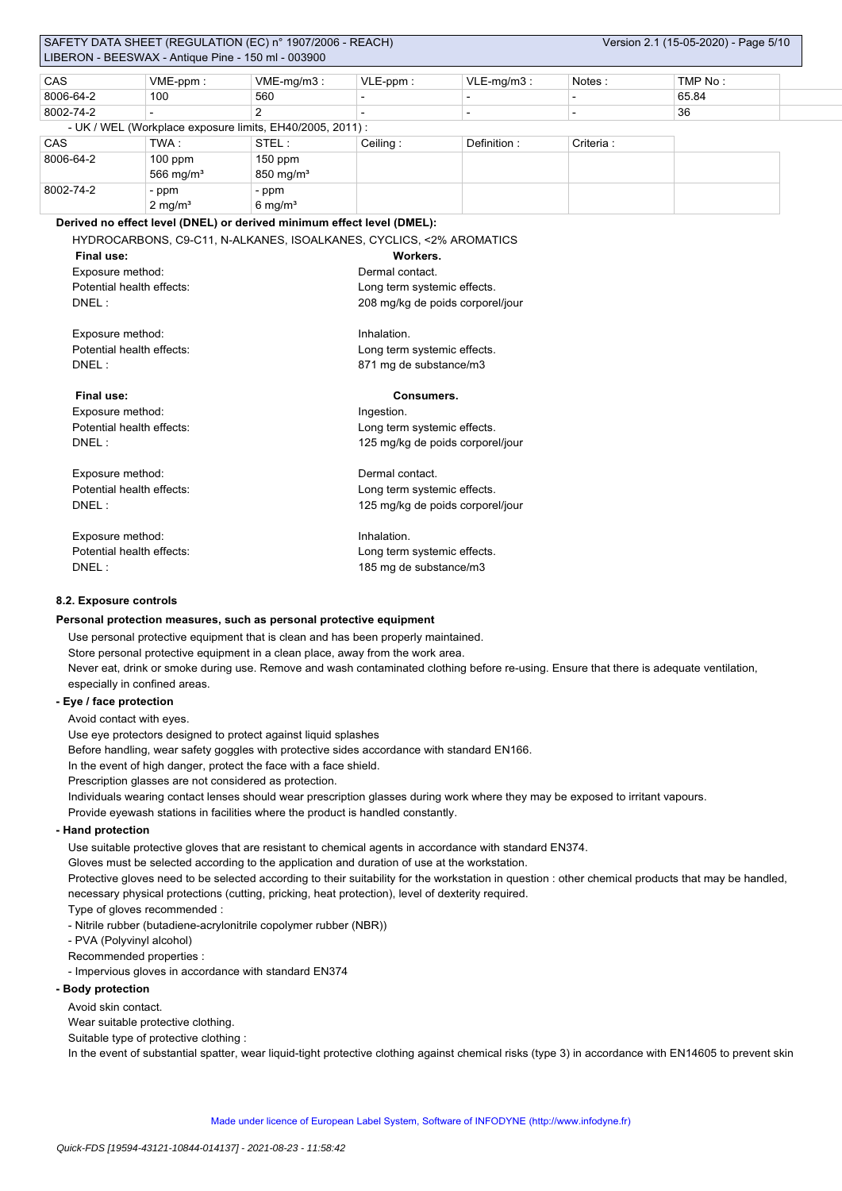|                           |                                                    | SAFETY DATA SHEET (REGULATION (EC) n° 1907/2006 - REACH)                          |                                  |                                  |                          | Version 2.1 (15-05-2020) - Page 5/10 |  |  |  |  |
|---------------------------|----------------------------------------------------|-----------------------------------------------------------------------------------|----------------------------------|----------------------------------|--------------------------|--------------------------------------|--|--|--|--|
|                           | LIBERON - BEESWAX - Antique Pine - 150 ml - 003900 |                                                                                   |                                  |                                  |                          |                                      |  |  |  |  |
| CAS                       | VME-ppm:                                           | $VME-mq/m3$ :                                                                     | VLE-ppm:                         | $VLE-mq/m3$ :                    | Notes:                   | TMP No:                              |  |  |  |  |
| 8006-64-2                 | 100                                                | 560                                                                               |                                  | $\overline{\phantom{a}}$         | $\overline{\phantom{a}}$ | 65.84                                |  |  |  |  |
| 8002-74-2                 |                                                    | 2                                                                                 |                                  | $\overline{\phantom{a}}$         | $\overline{\phantom{a}}$ | 36                                   |  |  |  |  |
|                           |                                                    | - UK / WEL (Workplace exposure limits, EH40/2005, 2011) :                         |                                  |                                  |                          |                                      |  |  |  |  |
| CAS                       | TWA:                                               | STEL:                                                                             | Ceiling:                         | Definition:                      | Criteria :               |                                      |  |  |  |  |
| 8006-64-2                 | $100$ ppm                                          | $150$ ppm                                                                         |                                  |                                  |                          |                                      |  |  |  |  |
|                           | 566 mg/ $m3$                                       | 850 mg/m <sup>3</sup>                                                             |                                  |                                  |                          |                                      |  |  |  |  |
| 8002-74-2                 | - ppm                                              | - ppm                                                                             |                                  |                                  |                          |                                      |  |  |  |  |
|                           | $2$ mg/m <sup>3</sup>                              | $6 \text{ mg/m}^3$                                                                |                                  |                                  |                          |                                      |  |  |  |  |
|                           |                                                    | Derived no effect level (DNEL) or derived minimum effect level (DMEL):            |                                  |                                  |                          |                                      |  |  |  |  |
|                           |                                                    | HYDROCARBONS, C9-C11, N-ALKANES, ISOALKANES, CYCLICS, <2% AROMATICS               |                                  |                                  |                          |                                      |  |  |  |  |
| <b>Final use:</b>         |                                                    |                                                                                   | Workers.                         |                                  |                          |                                      |  |  |  |  |
| Exposure method:          |                                                    |                                                                                   | Dermal contact.                  |                                  |                          |                                      |  |  |  |  |
|                           | Potential health effects:                          |                                                                                   | Long term systemic effects.      |                                  |                          |                                      |  |  |  |  |
| DNEL:                     |                                                    |                                                                                   |                                  | 208 mg/kg de poids corporel/jour |                          |                                      |  |  |  |  |
|                           |                                                    |                                                                                   |                                  |                                  |                          |                                      |  |  |  |  |
| Exposure method:          |                                                    |                                                                                   | Inhalation.                      |                                  |                          |                                      |  |  |  |  |
| Potential health effects: |                                                    |                                                                                   |                                  | Long term systemic effects.      |                          |                                      |  |  |  |  |
| DNEL:                     |                                                    |                                                                                   | 871 mg de substance/m3           |                                  |                          |                                      |  |  |  |  |
|                           |                                                    |                                                                                   |                                  |                                  |                          |                                      |  |  |  |  |
| Final use:                |                                                    |                                                                                   | Consumers.                       |                                  |                          |                                      |  |  |  |  |
| Exposure method:          |                                                    |                                                                                   | Ingestion.                       |                                  |                          |                                      |  |  |  |  |
|                           | Potential health effects:                          |                                                                                   | Long term systemic effects.      |                                  |                          |                                      |  |  |  |  |
| DNEL:                     |                                                    |                                                                                   | 125 mg/kg de poids corporel/jour |                                  |                          |                                      |  |  |  |  |
|                           |                                                    |                                                                                   |                                  |                                  |                          |                                      |  |  |  |  |
| Exposure method:          |                                                    |                                                                                   | Dermal contact.                  |                                  |                          |                                      |  |  |  |  |
| Potential health effects: |                                                    | Long term systemic effects.                                                       |                                  |                                  |                          |                                      |  |  |  |  |
| DNEL:                     |                                                    |                                                                                   | 125 mg/kg de poids corporel/jour |                                  |                          |                                      |  |  |  |  |
| Exposure method:          |                                                    |                                                                                   | Inhalation.                      |                                  |                          |                                      |  |  |  |  |
| Potential health effects: |                                                    | Long term systemic effects.                                                       |                                  |                                  |                          |                                      |  |  |  |  |
| DNEL:                     |                                                    |                                                                                   |                                  | 185 mg de substance/m3           |                          |                                      |  |  |  |  |
|                           |                                                    |                                                                                   |                                  |                                  |                          |                                      |  |  |  |  |
| 8.2. Exposure controls    |                                                    |                                                                                   |                                  |                                  |                          |                                      |  |  |  |  |
|                           |                                                    | Personal protection measures, such as personal protective equipment               |                                  |                                  |                          |                                      |  |  |  |  |
|                           |                                                    | Use personal protective equipment that is clean and has been properly maintained. |                                  |                                  |                          |                                      |  |  |  |  |
|                           |                                                    |                                                                                   |                                  |                                  |                          |                                      |  |  |  |  |

Store personal protective equipment in a clean place, away from the work area.

Never eat, drink or smoke during use. Remove and wash contaminated clothing before re-using. Ensure that there is adequate ventilation, especially in confined areas.

### **- Eye / face protection**

Avoid contact with eyes.

Use eye protectors designed to protect against liquid splashes

Before handling, wear safety goggles with protective sides accordance with standard EN166.

In the event of high danger, protect the face with a face shield.

Prescription glasses are not considered as protection.

Individuals wearing contact lenses should wear prescription glasses during work where they may be exposed to irritant vapours.

Provide eyewash stations in facilities where the product is handled constantly.

## **- Hand protection**

Use suitable protective gloves that are resistant to chemical agents in accordance with standard EN374.

Gloves must be selected according to the application and duration of use at the workstation.

Protective gloves need to be selected according to their suitability for the workstation in question : other chemical products that may be handled, necessary physical protections (cutting, pricking, heat protection), level of dexterity required.

Type of gloves recommended :

- Nitrile rubber (butadiene-acrylonitrile copolymer rubber (NBR))

- PVA (Polyvinyl alcohol)

Recommended properties :

- Impervious gloves in accordance with standard EN374

## **- Body protection**

Avoid skin contact.

Wear suitable protective clothing.

Suitable type of protective clothing :

In the event of substantial spatter, wear liquid-tight protective clothing against chemical risks (type 3) in accordance with EN14605 to prevent skin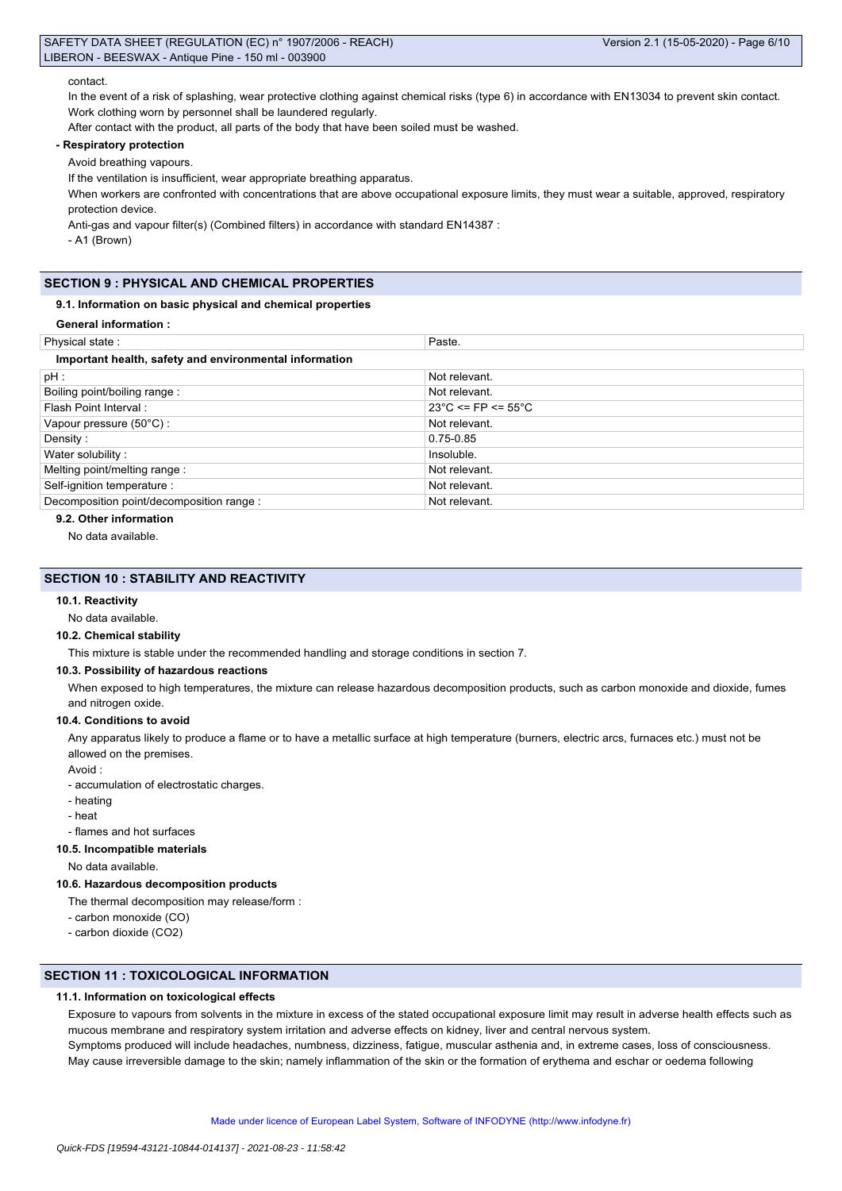#### contact.

In the event of a risk of splashing, wear protective clothing against chemical risks (type 6) in accordance with EN13034 to prevent skin contact. Work clothing worn by personnel shall be laundered regularly.

After contact with the product, all parts of the body that have been soiled must be washed.

### **- Respiratory protection**

Avoid breathing vapours.

If the ventilation is insufficient, wear appropriate breathing apparatus.

When workers are confronted with concentrations that are above occupational exposure limits, they must wear a suitable, approved, respiratory protection device.

Anti-gas and vapour filter(s) (Combined filters) in accordance with standard EN14387 :

- A1 (Brown)

### **SECTION 9 : PHYSICAL AND CHEMICAL PROPERTIES**

### **9.1. Information on basic physical and chemical properties**

**General information :**

| Physical state:                                        | Paste.                                  |
|--------------------------------------------------------|-----------------------------------------|
| Important health, safety and environmental information |                                         |
| pH:                                                    | Not relevant.                           |
| Boiling point/boiling range:                           | Not relevant.                           |
| Flash Point Interval:                                  | $23^{\circ}$ C <= FP <= 55 $^{\circ}$ C |
| Vapour pressure (50°C) :                               | Not relevant.                           |
| Density:                                               | 0.75-0.85                               |
| Water solubility:                                      | Insoluble.                              |
| Melting point/melting range:                           | Not relevant.                           |
| Self-ignition temperature :                            | Not relevant.                           |
| Decomposition point/decomposition range :              | Not relevant.                           |

**9.2. Other information**

No data available.

### **SECTION 10 : STABILITY AND REACTIVITY**

#### **10.1. Reactivity**

#### No data available.

#### **10.2. Chemical stability**

This mixture is stable under the recommended handling and storage conditions in section 7.

#### **10.3. Possibility of hazardous reactions**

When exposed to high temperatures, the mixture can release hazardous decomposition products, such as carbon monoxide and dioxide, fumes and nitrogen oxide.

#### **10.4. Conditions to avoid**

Any apparatus likely to produce a flame or to have a metallic surface at high temperature (burners, electric arcs, furnaces etc.) must not be allowed on the premises.

Avoid :

- accumulation of electrostatic charges.

- heating

- heat

- flames and hot surfaces

### **10.5. Incompatible materials**

No data available.

#### **10.6. Hazardous decomposition products**

The thermal decomposition may release/form :

- carbon monoxide (CO)
- carbon dioxide (CO2)

### **SECTION 11 : TOXICOLOGICAL INFORMATION**

### **11.1. Information on toxicological effects**

Exposure to vapours from solvents in the mixture in excess of the stated occupational exposure limit may result in adverse health effects such as mucous membrane and respiratory system irritation and adverse effects on kidney, liver and central nervous system. Symptoms produced will include headaches, numbness, dizziness, fatigue, muscular asthenia and, in extreme cases, loss of consciousness. May cause irreversible damage to the skin; namely inflammation of the skin or the formation of erythema and eschar or oedema following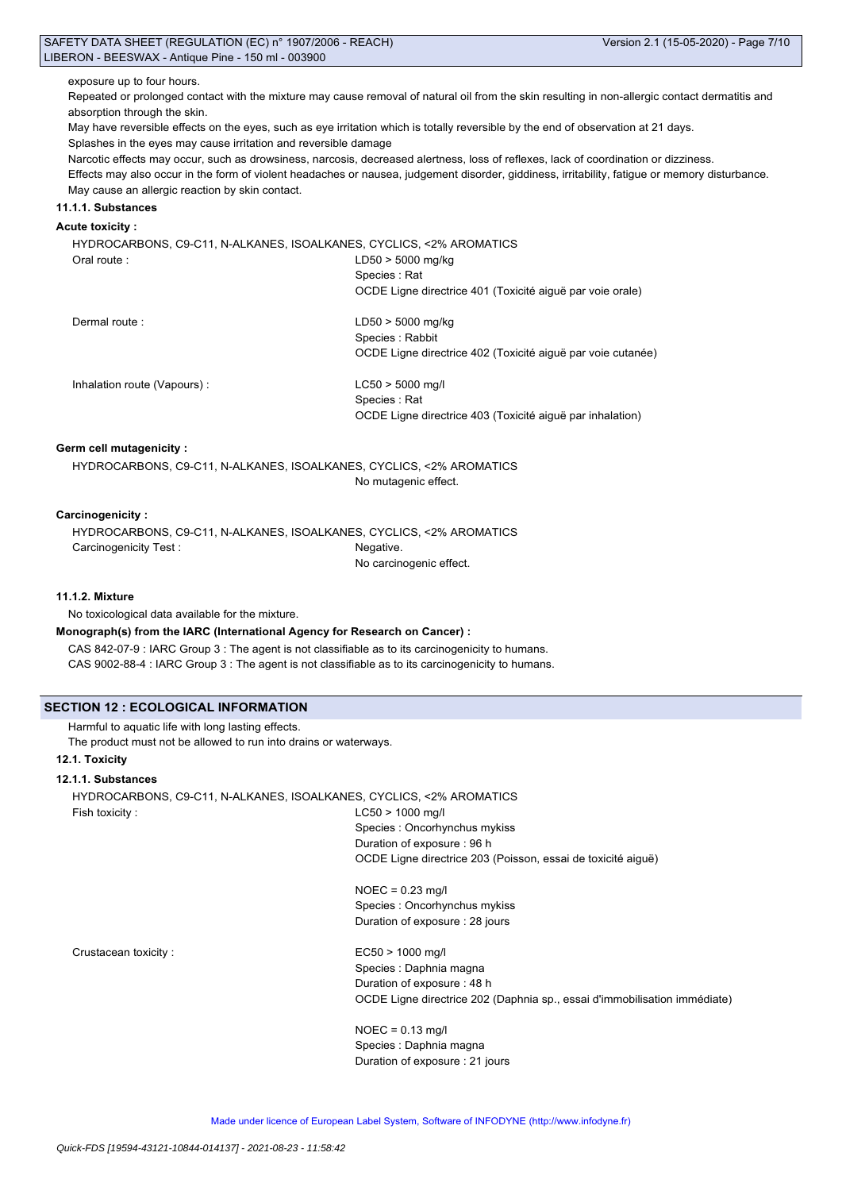exposure up to four hours.

Repeated or prolonged contact with the mixture may cause removal of natural oil from the skin resulting in non-allergic contact dermatitis and absorption through the skin.

May have reversible effects on the eyes, such as eye irritation which is totally reversible by the end of observation at 21 days. Splashes in the eyes may cause irritation and reversible damage

Narcotic effects may occur, such as drowsiness, narcosis, decreased alertness, loss of reflexes, lack of coordination or dizziness.

Effects may also occur in the form of violent headaches or nausea, judgement disorder, giddiness, irritability, fatigue or memory disturbance. May cause an allergic reaction by skin contact.

## **11.1.1. Substances**

### **Acute toxicity :**

HYDROCARBONS, C9-C11, N-ALKANES, ISOALKANES, CYCLICS, <2% AROMATICS Oral route : LD50 > 5000 mg/kg Species : Rat OCDE Ligne directrice 401 (Toxicité aiguë par voie orale)

Dermal route : LD50 > 5000 mg/kg

Species : Rabbit OCDE Ligne directrice 402 (Toxicité aiguë par voie cutanée)

Inhalation route (Vapours) : LC50 > 5000 mg/l

Species : Rat OCDE Ligne directrice 403 (Toxicité aiguë par inhalation)

### **Germ cell mutagenicity :**

HYDROCARBONS, C9-C11, N-ALKANES, ISOALKANES, CYCLICS, <2% AROMATICS No mutagenic effect.

#### **Carcinogenicity :**

HYDROCARBONS, C9-C11, N-ALKANES, ISOALKANES, CYCLICS, <2% AROMATICS Carcinogenicity Test : Negative.

No carcinogenic effect.

### **11.1.2. Mixture**

No toxicological data available for the mixture.

**Monograph(s) from the IARC (International Agency for Research on Cancer) :**

CAS 842-07-9 : IARC Group 3 : The agent is not classifiable as to its carcinogenicity to humans. CAS 9002-88-4 : IARC Group 3 : The agent is not classifiable as to its carcinogenicity to humans.

## **SECTION 12 : ECOLOGICAL INFORMATION**

Harmful to aquatic life with long lasting effects.

The product must not be allowed to run into drains or waterways.

## **12.1. Toxicity**

### **12.1.1. Substances**

HYDROCARBONS, C9-C11, N-ALKANES, ISOALKANES, CYCLICS, <2% AROMATICS Fish toxicity : LC50 > 1000 mg/l

Species : Oncorhynchus mykiss Duration of exposure : 96 h OCDE Ligne directrice 203 (Poisson, essai de toxicité aiguë)

NOEC = 0.23 mg/l Species : Oncorhynchus mykiss Duration of exposure : 28 jours

Crustacean toxicity : EC50 > 1000 mg/l

Species : Daphnia magna Duration of exposure : 48 h OCDE Ligne directrice 202 (Daphnia sp., essai d'immobilisation immédiate)

NOEC = 0.13 mg/l Species : Daphnia magna Duration of exposure : 21 jours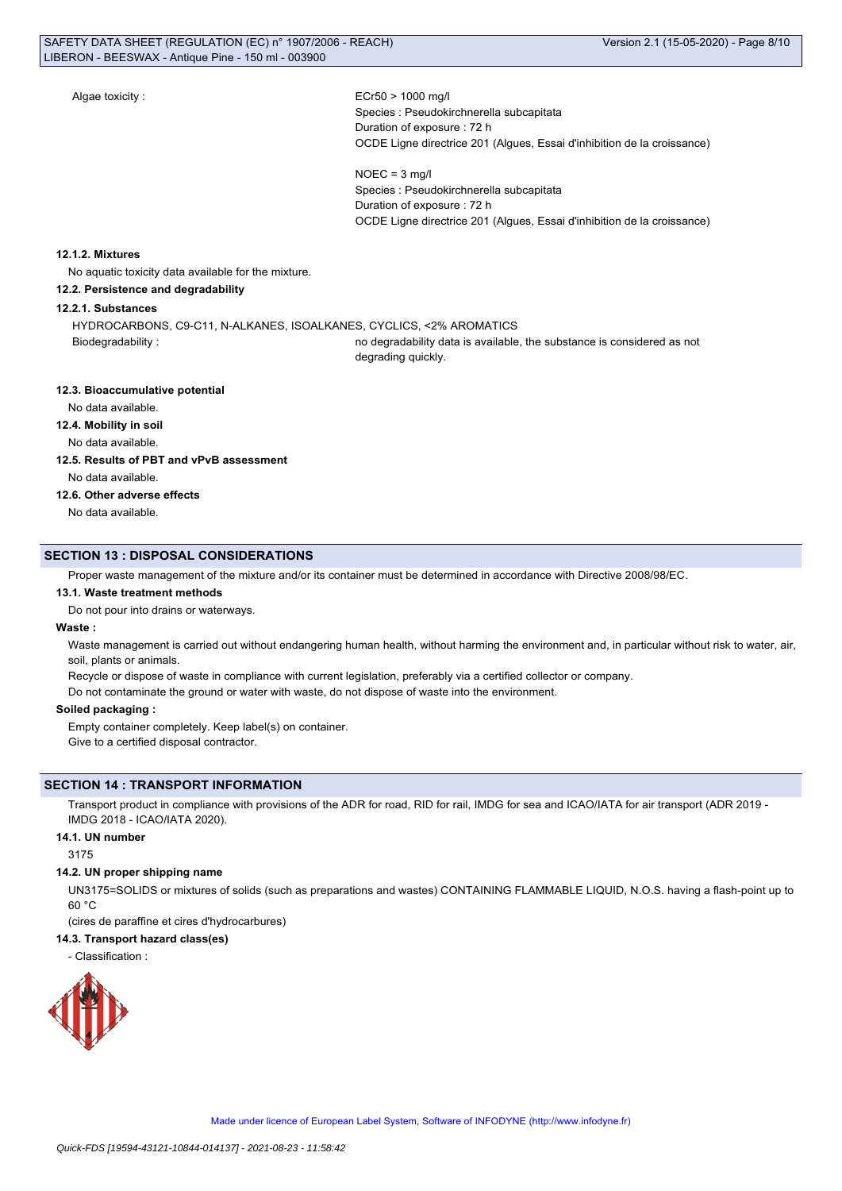Algae toxicity :  $ECr50 > 1000$  mg/l

Species : Pseudokirchnerella subcapitata Duration of exposure : 72 h OCDE Ligne directrice 201 (Algues, Essai d'inhibition de la croissance)

 $NOEC = 3$  mg/l Species : Pseudokirchnerella subcapitata Duration of exposure : 72 h OCDE Ligne directrice 201 (Algues, Essai d'inhibition de la croissance)

### **12.1.2. Mixtures**

No aquatic toxicity data available for the mixture.

### **12.2. Persistence and degradability**

**12.2.1. Substances**

HYDROCARBONS, C9-C11, N-ALKANES, ISOALKANES, CYCLICS, <2% AROMATICS

Biodegradability : no degradability data is available, the substance is considered as not degrading quickly.

#### **12.3. Bioaccumulative potential**

No data available.

### **12.4. Mobility in soil**

No data available.

### **12.5. Results of PBT and vPvB assessment**

No data available.

### **12.6. Other adverse effects**

No data available.

### **SECTION 13 : DISPOSAL CONSIDERATIONS**

Proper waste management of the mixture and/or its container must be determined in accordance with Directive 2008/98/EC.

### **13.1. Waste treatment methods**

Do not pour into drains or waterways.

### **Waste :**

Waste management is carried out without endangering human health, without harming the environment and, in particular without risk to water, air, soil, plants or animals.

Recycle or dispose of waste in compliance with current legislation, preferably via a certified collector or company.

Do not contaminate the ground or water with waste, do not dispose of waste into the environment.

### **Soiled packaging :**

Empty container completely. Keep label(s) on container. Give to a certified disposal contractor.

### **SECTION 14 : TRANSPORT INFORMATION**

Transport product in compliance with provisions of the ADR for road, RID for rail, IMDG for sea and ICAO/IATA for air transport (ADR 2019 - IMDG 2018 - ICAO/IATA 2020).

### **14.1. UN number**

3175

### **14.2. UN proper shipping name**

UN3175=SOLIDS or mixtures of solids (such as preparations and wastes) CONTAINING FLAMMABLE LIQUID, N.O.S. having a flash-point up to 60 °C

(cires de paraffine et cires d'hydrocarbures)

## **14.3. Transport hazard class(es)**

- Classification :

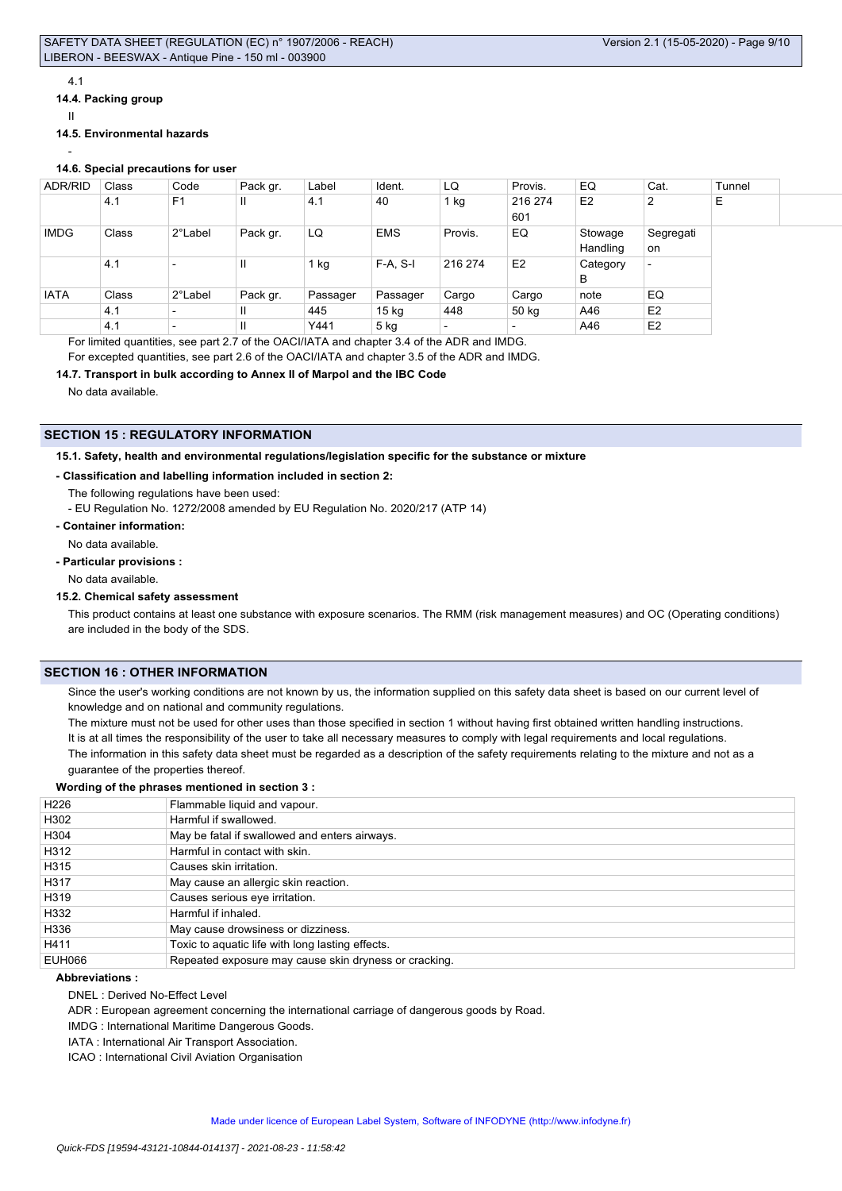#### 4.1

**14.4. Packing group**

II

### **14.5. Environmental hazards**

## -

## **14.6. Special precautions for user**

| ADR/RID     | Class | Code                     | Pack gr. | Label    | Ident.           | LQ                       | Provis.                  | EQ                  | Cat.                     | Tunnel |  |
|-------------|-------|--------------------------|----------|----------|------------------|--------------------------|--------------------------|---------------------|--------------------------|--------|--|
|             | 4.1   | F <sub>1</sub>           | Ш        | 4.1      | 40               | $1$ kg                   | 216 274<br>601           | E <sub>2</sub>      | 2                        | Е      |  |
| <b>IMDG</b> | Class | 2°Label                  | Pack gr. | LQ       | <b>EMS</b>       | Provis.                  | EQ                       | Stowage<br>Handling | Segregati<br>on          |        |  |
|             | 4.1   | $\overline{\phantom{0}}$ | Ш        | $1$ kg   | $F-A, S-I$       | 216 274                  | E <sub>2</sub>           | Category<br>в       | $\overline{\phantom{0}}$ |        |  |
| <b>IATA</b> | Class | 2°Label                  | Pack gr. | Passager | Passager         | Cargo                    | Cargo                    | note                | EQ                       |        |  |
|             | 4.1   | $\overline{\phantom{0}}$ | Ш        | 445      | 15 <sub>kg</sub> | 448                      | 50 kg                    | A46                 | E2                       |        |  |
|             | 4.1   | $\overline{\phantom{a}}$ | Ш        | Y441     | $5$ kg           | $\overline{\phantom{0}}$ | $\overline{\phantom{0}}$ | A46                 | E <sub>2</sub>           |        |  |

For limited quantities, see part 2.7 of the OACI/IATA and chapter 3.4 of the ADR and IMDG.

For excepted quantities, see part 2.6 of the OACI/IATA and chapter 3.5 of the ADR and IMDG.

### **14.7. Transport in bulk according to Annex II of Marpol and the IBC Code**

No data available.

## **SECTION 15 : REGULATORY INFORMATION**

**15.1. Safety, health and environmental regulations/legislation specific for the substance or mixture**

### **- Classification and labelling information included in section 2:**

- The following regulations have been used:
- EU Regulation No. 1272/2008 amended by EU Regulation No. 2020/217 (ATP 14)
- **Container information:**

No data available.

**- Particular provisions :**

No data available.

### **15.2. Chemical safety assessment**

This product contains at least one substance with exposure scenarios. The RMM (risk management measures) and OC (Operating conditions) are included in the body of the SDS.

## **SECTION 16 : OTHER INFORMATION**

Since the user's working conditions are not known by us, the information supplied on this safety data sheet is based on our current level of knowledge and on national and community regulations.

The mixture must not be used for other uses than those specified in section 1 without having first obtained written handling instructions. It is at all times the responsibility of the user to take all necessary measures to comply with legal requirements and local regulations. The information in this safety data sheet must be regarded as a description of the safety requirements relating to the mixture and not as a guarantee of the properties thereof.

#### **Wording of the phrases mentioned in section 3 :**

| H <sub>226</sub> | Flammable liquid and vapour.                          |
|------------------|-------------------------------------------------------|
| H302             | Harmful if swallowed.                                 |
| H304             | May be fatal if swallowed and enters airways.         |
| H312             | Harmful in contact with skin.                         |
| H315             | Causes skin irritation.                               |
| H317             | May cause an allergic skin reaction.                  |
| H319             | Causes serious eye irritation.                        |
| H332             | Harmful if inhaled.                                   |
| H336             | May cause drowsiness or dizziness.                    |
| H411             | Toxic to aquatic life with long lasting effects.      |
| <b>EUH066</b>    | Repeated exposure may cause skin dryness or cracking. |

#### **Abbreviations :**

DNEL : Derived No-Effect Level

ADR : European agreement concerning the international carriage of dangerous goods by Road.

IMDG : International Maritime Dangerous Goods.

IATA : International Air Transport Association.

ICAO : International Civil Aviation Organisation